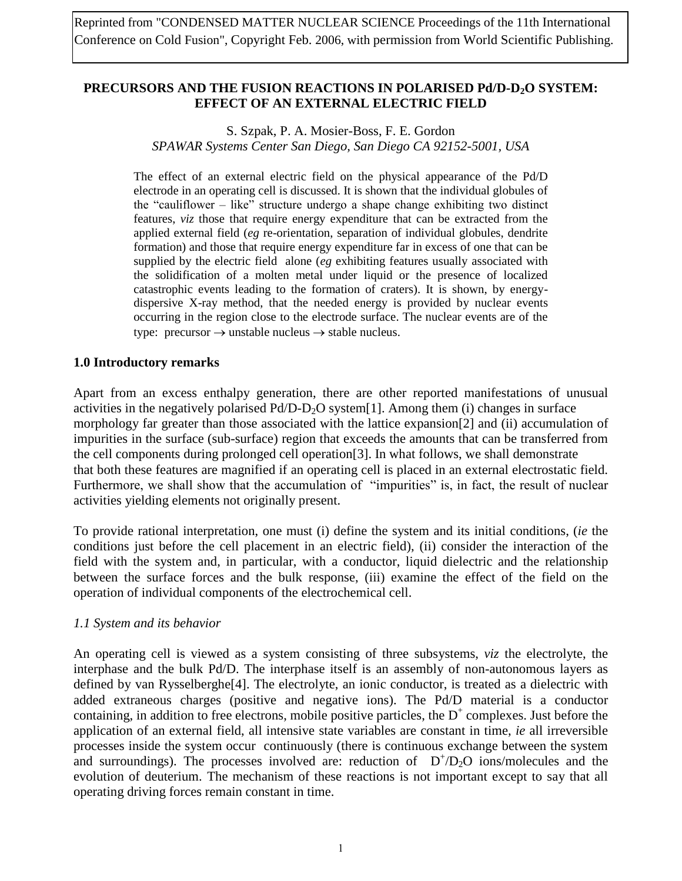Reprinted from "CONDENSED MATTER NUCLEAR SCIENCE Proceedings of the 11th International Conference on Cold Fusion", Copyright Feb. 2006, with permission from World Scientific Publishing.

### **PRECURSORS AND THE FUSION REACTIONS IN POLARISED Pd/D-D2O SYSTEM: EFFECT OF AN EXTERNAL ELECTRIC FIELD**

## S. Szpak, P. A. Mosier-Boss, F. E. Gordon *SPAWAR Systems Center San Diego, San Diego CA 92152-5001, USA*

The effect of an external electric field on the physical appearance of the Pd/D electrode in an operating cell is discussed. It is shown that the individual globules of the "cauliflower – like" structure undergo a shape change exhibiting two distinct features, *viz* those that require energy expenditure that can be extracted from the applied external field (*eg* re-orientation, separation of individual globules, dendrite formation) and those that require energy expenditure far in excess of one that can be supplied by the electric field alone (*eg* exhibiting features usually associated with the solidification of a molten metal under liquid or the presence of localized catastrophic events leading to the formation of craters). It is shown, by energydispersive X-ray method, that the needed energy is provided by nuclear events occurring in the region close to the electrode surface. The nuclear events are of the type: precursor  $\rightarrow$  unstable nucleus  $\rightarrow$  stable nucleus.

### **1.0 Introductory remarks**

Apart from an excess enthalpy generation, there are other reported manifestations of unusual activities in the negatively polarised  $Pd/D-D_2O$  system [1]. Among them (i) changes in surface morphology far greater than those associated with the lattice expansion[2] and (ii) accumulation of impurities in the surface (sub-surface) region that exceeds the amounts that can be transferred from the cell components during prolonged cell operation[3]. In what follows, we shall demonstrate that both these features are magnified if an operating cell is placed in an external electrostatic field. Furthermore, we shall show that the accumulation of "impurities" is, in fact, the result of nuclear activities yielding elements not originally present.

To provide rational interpretation, one must (i) define the system and its initial conditions, (*ie* the conditions just before the cell placement in an electric field), (ii) consider the interaction of the field with the system and, in particular, with a conductor, liquid dielectric and the relationship between the surface forces and the bulk response, (iii) examine the effect of the field on the operation of individual components of the electrochemical cell.

### *1.1 System and its behavior*

An operating cell is viewed as a system consisting of three subsystems, *viz* the electrolyte, the interphase and the bulk Pd/D. The interphase itself is an assembly of non-autonomous layers as defined by van Rysselberghe[4]. The electrolyte, an ionic conductor, is treated as a dielectric with added extraneous charges (positive and negative ions). The Pd/D material is a conductor containing, in addition to free electrons, mobile positive particles, the  $D^+$  complexes. Just before the application of an external field, all intensive state variables are constant in time, *ie* all irreversible processes inside the system occur continuously (there is continuous exchange between the system and surroundings). The processes involved are: reduction of  $D^+/D_2O$  ions/molecules and the evolution of deuterium. The mechanism of these reactions is not important except to say that all operating driving forces remain constant in time.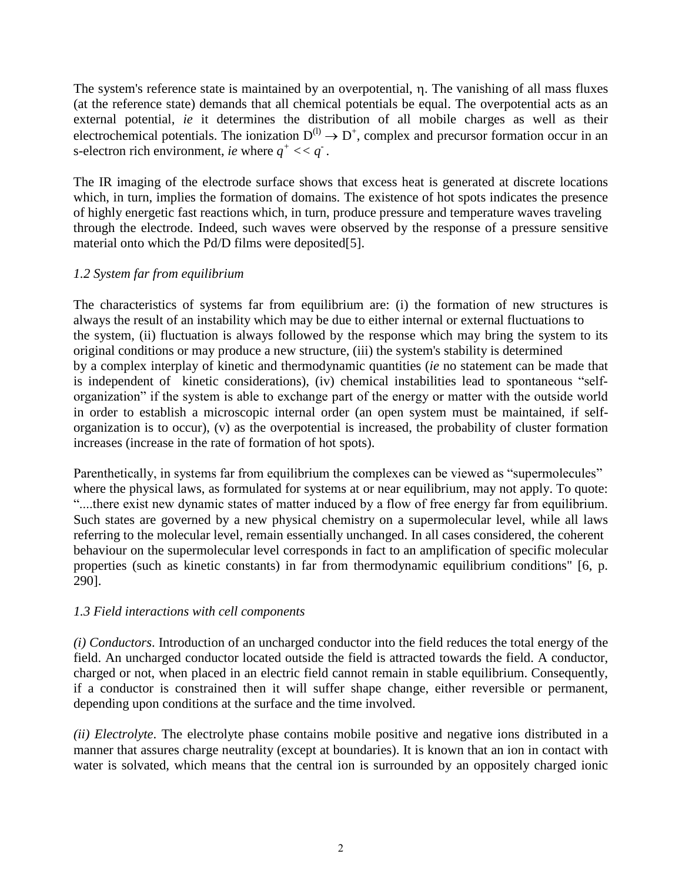The system's reference state is maintained by an overpotential,  $\eta$ . The vanishing of all mass fluxes (at the reference state) demands that all chemical potentials be equal. The overpotential acts as an external potential, *ie* it determines the distribution of all mobile charges as well as their electrochemical potentials. The ionization  $D^{(l)} \to D^+$ , complex and precursor formation occur in an s-electron rich environment, *ie* where  $q^+ << q^-$ .

The IR imaging of the electrode surface shows that excess heat is generated at discrete locations which, in turn, implies the formation of domains. The existence of hot spots indicates the presence of highly energetic fast reactions which, in turn, produce pressure and temperature waves traveling through the electrode. Indeed, such waves were observed by the response of a pressure sensitive material onto which the Pd/D films were deposited[5].

## *1.2 System far from equilibrium*

The characteristics of systems far from equilibrium are: (i) the formation of new structures is always the result of an instability which may be due to either internal or external fluctuations to the system, (ii) fluctuation is always followed by the response which may bring the system to its original conditions or may produce a new structure, (iii) the system's stability is determined by a complex interplay of kinetic and thermodynamic quantities (*ie* no statement can be made that is independent of kinetic considerations), (iv) chemical instabilities lead to spontaneous "selforganization" if the system is able to exchange part of the energy or matter with the outside world in order to establish a microscopic internal order (an open system must be maintained, if selforganization is to occur), (v) as the overpotential is increased, the probability of cluster formation increases (increase in the rate of formation of hot spots).

Parenthetically, in systems far from equilibrium the complexes can be viewed as "supermolecules" where the physical laws, as formulated for systems at or near equilibrium, may not apply. To quote: "....there exist new dynamic states of matter induced by a flow of free energy far from equilibrium. Such states are governed by a new physical chemistry on a supermolecular level, while all laws referring to the molecular level, remain essentially unchanged. In all cases considered, the coherent behaviour on the supermolecular level corresponds in fact to an amplification of specific molecular properties (such as kinetic constants) in far from thermodynamic equilibrium conditions" [6, p. 290].

## *1.3 Field interactions with cell components*

*(i) Conductors*. Introduction of an uncharged conductor into the field reduces the total energy of the field. An uncharged conductor located outside the field is attracted towards the field. A conductor, charged or not, when placed in an electric field cannot remain in stable equilibrium. Consequently, if a conductor is constrained then it will suffer shape change, either reversible or permanent, depending upon conditions at the surface and the time involved.

*(ii) Electrolyte*. The electrolyte phase contains mobile positive and negative ions distributed in a manner that assures charge neutrality (except at boundaries). It is known that an ion in contact with water is solvated, which means that the central ion is surrounded by an oppositely charged ionic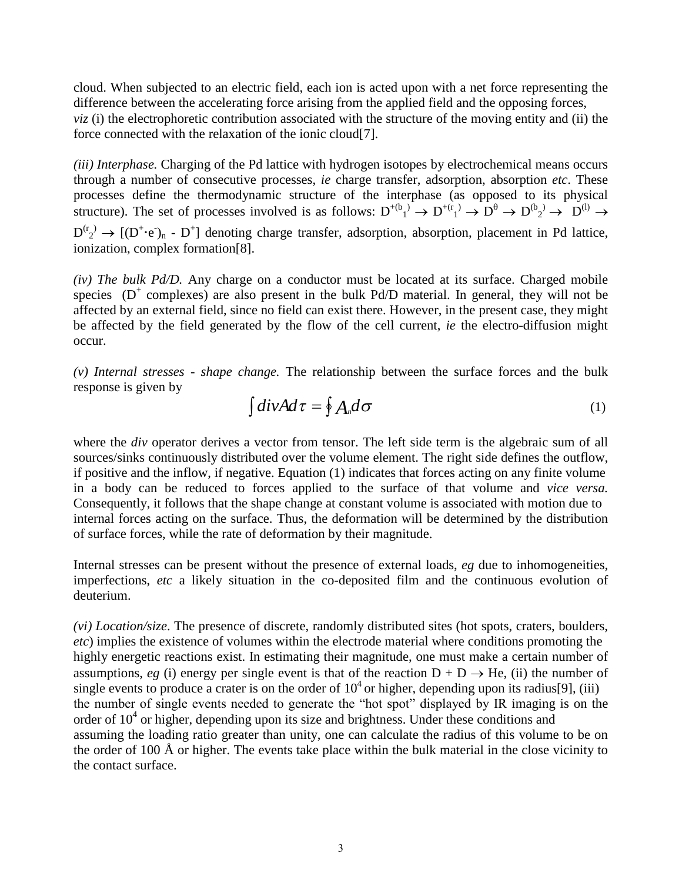cloud. When subjected to an electric field, each ion is acted upon with a net force representing the difference between the accelerating force arising from the applied field and the opposing forces, *viz* (i) the electrophoretic contribution associated with the structure of the moving entity and (ii) the force connected with the relaxation of the ionic cloud[7].

*(iii) Interphase.* Charging of the Pd lattice with hydrogen isotopes by electrochemical means occurs through a number of consecutive processes, *ie* charge transfer, adsorption, absorption *etc*. These processes define the thermodynamic structure of the interphase (as opposed to its physical structure). The set of processes involved is as follows:  $D^{+(b)}_1 \rightarrow D^{+(r)}_1 \rightarrow D^{(b)} \rightarrow D^{(b)}_2 \rightarrow D^{(l)} \rightarrow D^{(l)}$  $D^{(r_2)} \to [(D^+ \cdot e)_n - D^+]$  denoting charge transfer, adsorption, absorption, placement in Pd lattice, ionization, complex formation[8].

*(iv) The bulk Pd/D.* Any charge on a conductor must be located at its surface. Charged mobile species  $(D^+$  complexes) are also present in the bulk Pd/D material. In general, they will not be affected by an external field, since no field can exist there. However, in the present case, they might be affected by the field generated by the flow of the cell current, *ie* the electro-diffusion might occur.

*(v) Internal stresses - shape change.* The relationship between the surface forces and the bulk response is given by

$$
\int \text{div} A d\tau = \oint A_n d\sigma \tag{1}
$$

where the *div* operator derives a vector from tensor. The left side term is the algebraic sum of all sources/sinks continuously distributed over the volume element. The right side defines the outflow, if positive and the inflow, if negative. Equation (1) indicates that forces acting on any finite volume in a body can be reduced to forces applied to the surface of that volume and *vice versa.* Consequently, it follows that the shape change at constant volume is associated with motion due to internal forces acting on the surface. Thus, the deformation will be determined by the distribution of surface forces, while the rate of deformation by their magnitude.

Internal stresses can be present without the presence of external loads, *eg* due to inhomogeneities, imperfections, *etc* a likely situation in the co-deposited film and the continuous evolution of deuterium.

*(vi) Location/size*. The presence of discrete, randomly distributed sites (hot spots, craters, boulders, *etc*) implies the existence of volumes within the electrode material where conditions promoting the highly energetic reactions exist. In estimating their magnitude, one must make a certain number of assumptions, *eg* (i) energy per single event is that of the reaction  $D + D \rightarrow He$ , (ii) the number of single events to produce a crater is on the order of  $10<sup>4</sup>$  or higher, depending upon its radius[9], (iii) the number of single events needed to generate the "hot spot" displayed by IR imaging is on the order of  $10<sup>4</sup>$  or higher, depending upon its size and brightness. Under these conditions and assuming the loading ratio greater than unity, one can calculate the radius of this volume to be on the order of 100 Å or higher. The events take place within the bulk material in the close vicinity to the contact surface.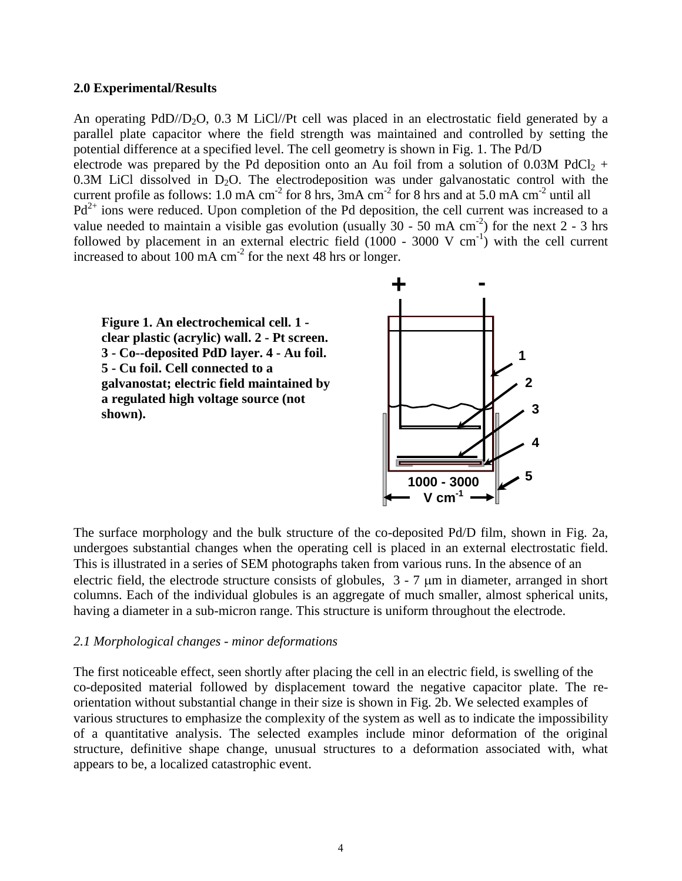#### **2.0 Experimental/Results**

An operating  $PdD/D_2O$ , 0.3 M LiCl//Pt cell was placed in an electrostatic field generated by a parallel plate capacitor where the field strength was maintained and controlled by setting the potential difference at a specified level. The cell geometry is shown in Fig. 1. The Pd/D electrode was prepared by the Pd deposition onto an Au foil from a solution of 0.03M PdCl<sub>2</sub> + 0.3M LiCl dissolved in  $D_2O$ . The electrodeposition was under galvanostatic control with the current profile as follows:  $1.0 \text{ mA cm}^{-2}$  for 8 hrs,  $3 \text{ mA cm}^{-2}$  for 8 hrs and at  $5.0 \text{ mA cm}^{-2}$  until all  $Pd^{2+}$  ions were reduced. Upon completion of the Pd deposition, the cell current was increased to a value needed to maintain a visible gas evolution (usually  $30 - 50$  mA cm<sup>-2</sup>) for the next 2 - 3 hrs followed by placement in an external electric field  $(1000 - 3000 \text{ V cm}^{-1})$  with the cell current increased to about 100 mA  $\text{cm}^{-2}$  for the next 48 hrs or longer.

**Figure 1. An electrochemical cell. 1 clear plastic (acrylic) wall. 2 - Pt screen. 3 - Co--deposited PdD layer. 4 - Au foil. 5 - Cu foil. Cell connected to a galvanostat; electric field maintained by a regulated high voltage source (not shown).**



The surface morphology and the bulk structure of the co-deposited Pd/D film, shown in Fig. 2a, undergoes substantial changes when the operating cell is placed in an external electrostatic field. This is illustrated in a series of SEM photographs taken from various runs. In the absence of an electric field, the electrode structure consists of globules,  $3 - 7 \mu m$  in diameter, arranged in short columns. Each of the individual globules is an aggregate of much smaller, almost spherical units, having a diameter in a sub-micron range. This structure is uniform throughout the electrode.

#### *2.1 Morphological changes - minor deformations*

The first noticeable effect, seen shortly after placing the cell in an electric field, is swelling of the co-deposited material followed by displacement toward the negative capacitor plate. The reorientation without substantial change in their size is shown in Fig. 2b. We selected examples of various structures to emphasize the complexity of the system as well as to indicate the impossibility of a quantitative analysis. The selected examples include minor deformation of the original structure, definitive shape change, unusual structures to a deformation associated with, what appears to be, a localized catastrophic event.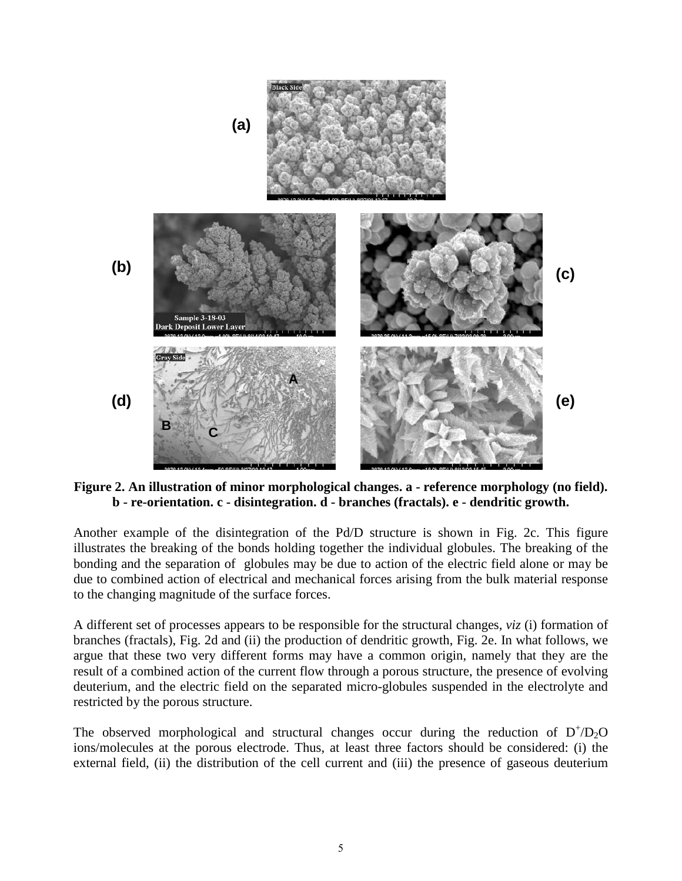

**Figure 2. An illustration of minor morphological changes. a - reference morphology (no field). b - re-orientation. c - disintegration. d - branches (fractals). e - dendritic growth.**

Another example of the disintegration of the Pd/D structure is shown in Fig. 2c. This figure illustrates the breaking of the bonds holding together the individual globules. The breaking of the bonding and the separation of globules may be due to action of the electric field alone or may be due to combined action of electrical and mechanical forces arising from the bulk material response to the changing magnitude of the surface forces.

A different set of processes appears to be responsible for the structural changes, *viz* (i) formation of branches (fractals), Fig. 2d and (ii) the production of dendritic growth, Fig. 2e. In what follows, we argue that these two very different forms may have a common origin, namely that they are the result of a combined action of the current flow through a porous structure, the presence of evolving deuterium, and the electric field on the separated micro-globules suspended in the electrolyte and restricted by the porous structure.

The observed morphological and structural changes occur during the reduction of  $D^+ / D_2$ O ions/molecules at the porous electrode. Thus, at least three factors should be considered: (i) the external field, (ii) the distribution of the cell current and (iii) the presence of gaseous deuterium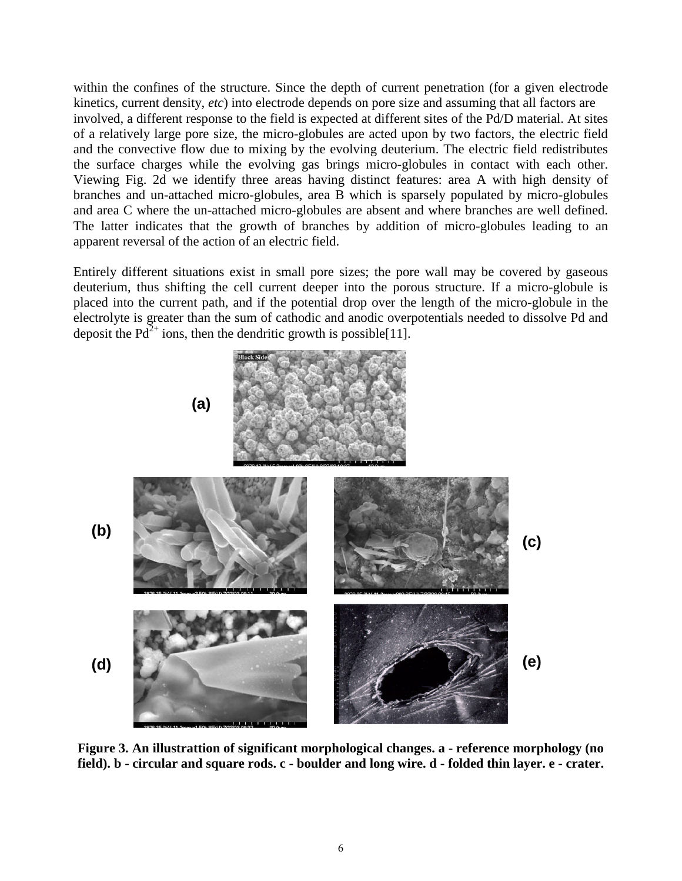within the confines of the structure. Since the depth of current penetration (for a given electrode kinetics, current density, *etc*) into electrode depends on pore size and assuming that all factors are involved, a different response to the field is expected at different sites of the Pd/D material. At sites of a relatively large pore size, the micro-globules are acted upon by two factors, the electric field and the convective flow due to mixing by the evolving deuterium. The electric field redistributes the surface charges while the evolving gas brings micro-globules in contact with each other. Viewing Fig. 2d we identify three areas having distinct features: area A with high density of branches and un-attached micro-globules, area B which is sparsely populated by micro-globules and area C where the un-attached micro-globules are absent and where branches are well defined. The latter indicates that the growth of branches by addition of micro-globules leading to an apparent reversal of the action of an electric field.

Entirely different situations exist in small pore sizes; the pore wall may be covered by gaseous deuterium, thus shifting the cell current deeper into the porous structure. If a micro-globule is placed into the current path, and if the potential drop over the length of the micro-globule in the electrolyte is greater than the sum of cathodic and anodic overpotentials needed to dissolve Pd and deposit the  $Pd^{2+}$  ions, then the dendritic growth is possible[11].



**Figure 3. An illustrattion of significant morphological changes. a - reference morphology (no field). b - circular and square rods. c - boulder and long wire. d - folded thin layer. e - crater.**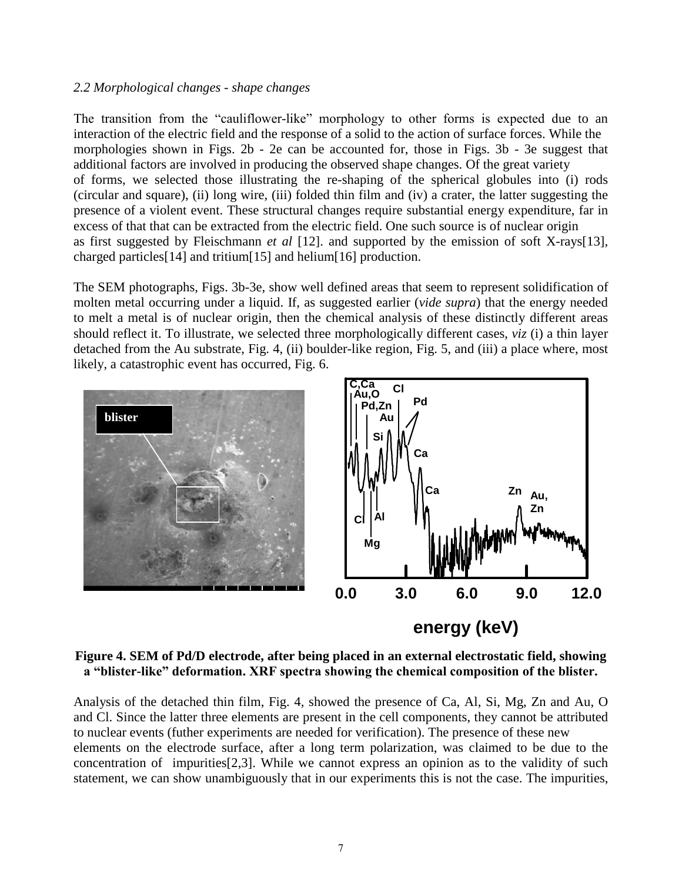#### *2.2 Morphological changes - shape changes*

The transition from the "cauliflower-like" morphology to other forms is expected due to an interaction of the electric field and the response of a solid to the action of surface forces. While the morphologies shown in Figs. 2b - 2e can be accounted for, those in Figs. 3b - 3e suggest that additional factors are involved in producing the observed shape changes. Of the great variety of forms, we selected those illustrating the re-shaping of the spherical globules into (i) rods (circular and square), (ii) long wire, (iii) folded thin film and (iv) a crater, the latter suggesting the presence of a violent event. These structural changes require substantial energy expenditure, far in excess of that that can be extracted from the electric field. One such source is of nuclear origin as first suggested by Fleischmann *et al* [12]. and supported by the emission of soft X-rays[13], charged particles[14] and tritium[15] and helium[16] production.

The SEM photographs, Figs. 3b-3e, show well defined areas that seem to represent solidification of molten metal occurring under a liquid. If, as suggested earlier (*vide supra*) that the energy needed to melt a metal is of nuclear origin, then the chemical analysis of these distinctly different areas should reflect it. To illustrate, we selected three morphologically different cases, *viz* (i) a thin layer detached from the Au substrate, Fig. 4, (ii) boulder-like region, Fig. 5, and (iii) a place where, most likely, a catastrophic event has occurred, Fig. 6.



**Figure 4. SEM of Pd/D electrode, after being placed in an external electrostatic field, showing a "blister-like" deformation. XRF spectra showing the chemical composition of the blister.**

Analysis of the detached thin film, Fig. 4, showed the presence of Ca, Al, Si, Mg, Zn and Au, O and Cl. Since the latter three elements are present in the cell components, they cannot be attributed to nuclear events (futher experiments are needed for verification). The presence of these new elements on the electrode surface, after a long term polarization, was claimed to be due to the concentration of impurities[2,3]. While we cannot express an opinion as to the validity of such statement, we can show unambiguously that in our experiments this is not the case. The impurities,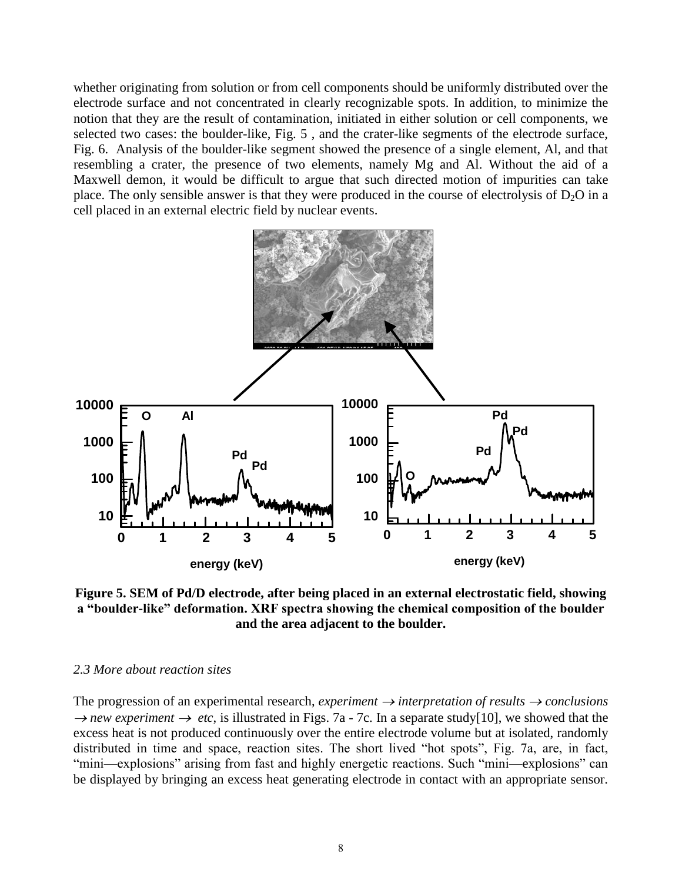whether originating from solution or from cell components should be uniformly distributed over the electrode surface and not concentrated in clearly recognizable spots. In addition, to minimize the notion that they are the result of contamination, initiated in either solution or cell components, we selected two cases: the boulder-like, Fig. 5 , and the crater-like segments of the electrode surface, Fig. 6. Analysis of the boulder-like segment showed the presence of a single element, Al, and that resembling a crater, the presence of two elements, namely Mg and Al. Without the aid of a Maxwell demon, it would be difficult to argue that such directed motion of impurities can take place. The only sensible answer is that they were produced in the course of electrolysis of  $D_2O$  in a cell placed in an external electric field by nuclear events.



**Figure 5. SEM of Pd/D electrode, after being placed in an external electrostatic field, showing a "boulder-like" deformation. XRF spectra showing the chemical composition of the boulder and the area adjacent to the boulder.**

#### *2.3 More about reaction sites*

The progression of an experimental research, *experiment*  $\rightarrow$  *interpretation of results*  $\rightarrow$  *conclusions*  $\rightarrow$  *new experiment*  $\rightarrow$  *etc*, is illustrated in Figs. 7a - 7c. In a separate study[10], we showed that the excess heat is not produced continuously over the entire electrode volume but at isolated, randomly distributed in time and space, reaction sites. The short lived "hot spots", Fig. 7a, are, in fact, "mini—explosions" arising from fast and highly energetic reactions. Such "mini—explosions" can be displayed by bringing an excess heat generating electrode in contact with an appropriate sensor.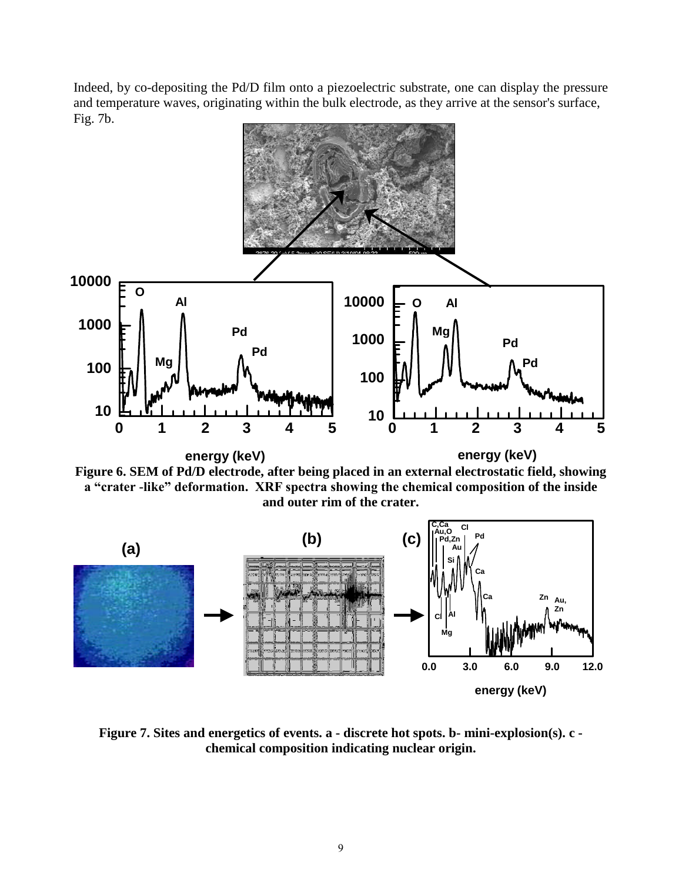Indeed, by co-depositing the Pd/D film onto a piezoelectric substrate, one can display the pressure and temperature waves, originating within the bulk electrode, as they arrive at the sensor's surface, Fig. 7b.



**Figure 7. Sites and energetics of events. a - discrete hot spots. b- mini-explosion(s). c chemical composition indicating nuclear origin.**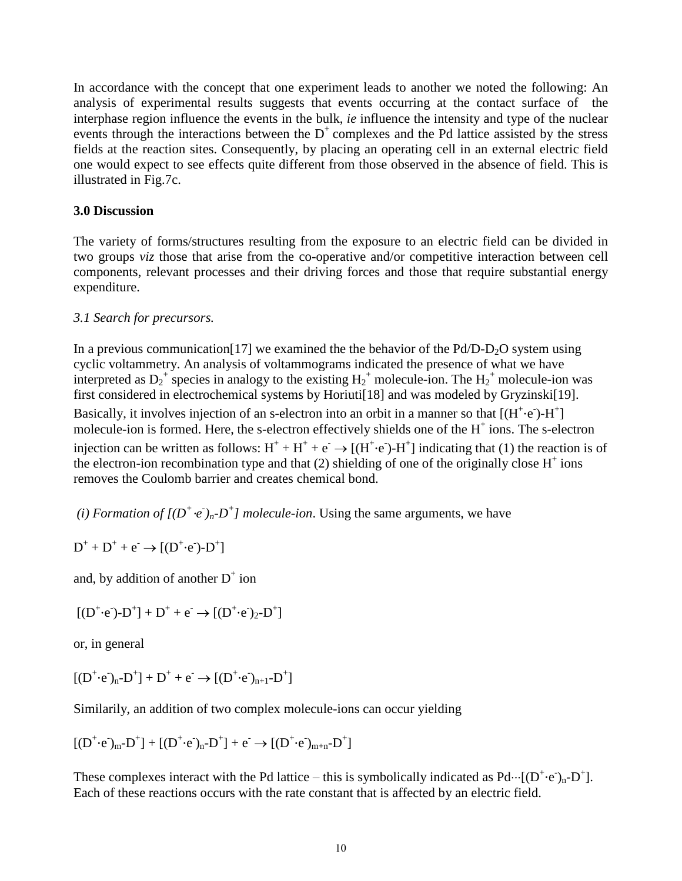In accordance with the concept that one experiment leads to another we noted the following: An analysis of experimental results suggests that events occurring at the contact surface of the interphase region influence the events in the bulk, *ie* influence the intensity and type of the nuclear events through the interactions between the  $D^+$  complexes and the Pd lattice assisted by the stress fields at the reaction sites. Consequently, by placing an operating cell in an external electric field one would expect to see effects quite different from those observed in the absence of field. This is illustrated in Fig.7c.

### **3.0 Discussion**

The variety of forms/structures resulting from the exposure to an electric field can be divided in two groups *viz* those that arise from the co-operative and/or competitive interaction between cell components, relevant processes and their driving forces and those that require substantial energy expenditure.

## *3.1 Search for precursors.*

In a previous communication [17] we examined the the behavior of the Pd/D-D<sub>2</sub>O system using cyclic voltammetry. An analysis of voltammograms indicated the presence of what we have interpreted as  $D_2^+$  species in analogy to the existing  $H_2^+$  molecule-ion. The  $H_2^+$  molecule-ion was first considered in electrochemical systems by Horiuti<sup>[18]</sup> and was modeled by Gryzinski<sup>[19]</sup>. Basically, it involves injection of an s-electron into an orbit in a manner so that  $[(H^+\cdot e^-)$ - $H^+]$ molecule-ion is formed. Here, the s-electron effectively shields one of the  $H^+$  ions. The s-electron injection can be written as follows:  $H^+ + H^+ + e^- \rightarrow [(H^+ \cdot e^-) - H^+]$  indicating that (1) the reaction is of the electron-ion recombination type and that  $(2)$  shielding of one of the originally close  $H^+$  ions removes the Coulomb barrier and creates chemical bond.

*(i) Formation of*  $[(D^+ \cdot e^-)_n - D^+]$  *molecule-ion.* Using the same arguments, we have

 $D^+ + D^+ + e^- \rightarrow [(D^+ \cdot e^-) - D^+]$ 

and, by addition of another  $D^+$  ion

 $[(D^+ \cdot e^-) - D^+] + D^+ + e^- \rightarrow [(D^+ \cdot e^-)_{2} - D^+]$ 

or, in general

 $[(D^+ \cdot e^-)_n - D^+] + D^+ + e^- \rightarrow [(D^+ \cdot e^-)_{n+1} - D^+]$ 

Similarily, an addition of two complex molecule-ions can occur yielding

 $[(D^+ \cdot e^-)_m - D^+] + [(D^+ \cdot e^-)_n - D^+] + e^- \rightarrow [(D^+ \cdot e^-)_{m+n} - D^+]$ 

These complexes interact with the Pd lattice – this is symbolically indicated as  $Pd \cdots [(D^+ \cdot e^-)_n - D^+]$ . Each of these reactions occurs with the rate constant that is affected by an electric field.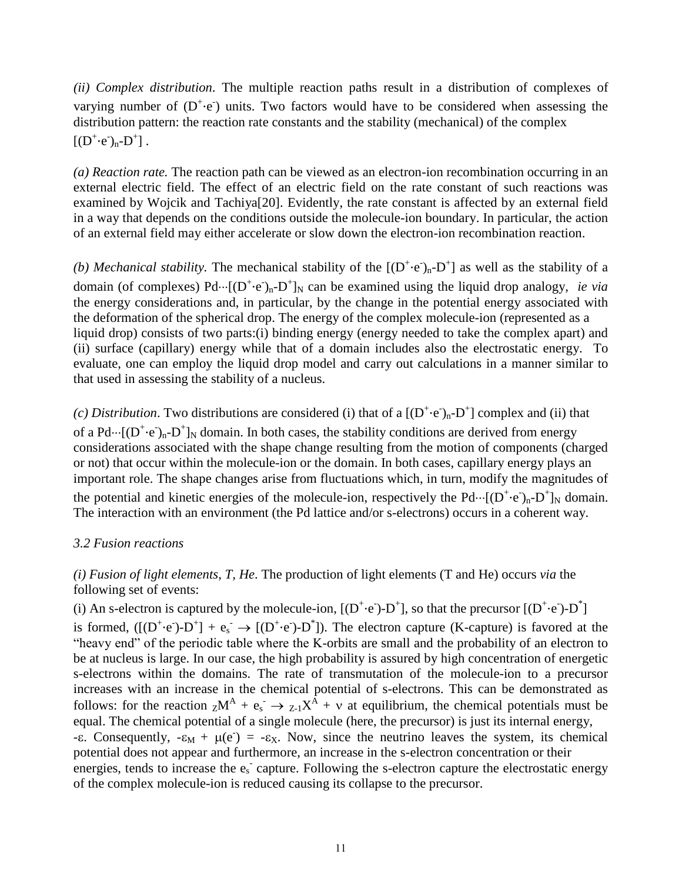*(ii) Complex distribution*. The multiple reaction paths result in a distribution of complexes of varying number of  $(D^+ \cdot e)$  units. Two factors would have to be considered when assessing the distribution pattern: the reaction rate constants and the stability (mechanical) of the complex  $[(D^+ \cdot e^-)_n - D^+]$ .

*(a) Reaction rate.* The reaction path can be viewed as an electron-ion recombination occurring in an external electric field. The effect of an electric field on the rate constant of such reactions was examined by Wojcik and Tachiya[20]. Evidently, the rate constant is affected by an external field in a way that depends on the conditions outside the molecule-ion boundary. In particular, the action of an external field may either accelerate or slow down the electron-ion recombination reaction.

(b) Mechanical stability. The mechanical stability of the  $[(D^+ \cdot e^-)_n - D^+]$  as well as the stability of a domain (of complexes)  $Pd \cdots [(D^+ \cdot e)_n - D^+]_N$  can be examined using the liquid drop analogy, *ie via* the energy considerations and, in particular, by the change in the potential energy associated with the deformation of the spherical drop. The energy of the complex molecule-ion (represented as a liquid drop) consists of two parts:(i) binding energy (energy needed to take the complex apart) and (ii) surface (capillary) energy while that of a domain includes also the electrostatic energy. To evaluate, one can employ the liquid drop model and carry out calculations in a manner similar to that used in assessing the stability of a nucleus.

(c) Distribution. Two distributions are considered (i) that of a  $[(D^+ \cdot e^-)_n - D^+]$  complex and (ii) that of a Pd… $[(D^+ \cdot e^-)_n - D^+]_N$  domain. In both cases, the stability conditions are derived from energy considerations associated with the shape change resulting from the motion of components (charged or not) that occur within the molecule-ion or the domain. In both cases, capillary energy plays an important role. The shape changes arise from fluctuations which, in turn, modify the magnitudes of the potential and kinetic energies of the molecule-ion, respectively the  $Pd \cdots [(D^+ \cdot e^-)_n - D^+]_N$  domain. The interaction with an environment (the Pd lattice and/or s-electrons) occurs in a coherent way.

## *3.2 Fusion reactions*

*(i) Fusion of light elements, T, He*. The production of light elements (T and He) occurs *via* the following set of events:

(i) An s-electron is captured by the molecule-ion,  $[(D^+ \cdot e^-) - D^+]$ , so that the precursor  $[(D^+ \cdot e^-) - D^*]$ is formed,  $([(D^+ \cdot e^-) - D^+] + e_s^- \rightarrow [(D^+ \cdot e^-) - D^*])$ . The electron capture (K-capture) is favored at the "heavy end" of the periodic table where the K-orbits are small and the probability of an electron to be at nucleus is large. In our case, the high probability is assured by high concentration of energetic s-electrons within the domains. The rate of transmutation of the molecule-ion to a precursor increases with an increase in the chemical potential of s-electrons. This can be demonstrated as follows: for the reaction  ${}_{Z}M^A + e_s^- \rightarrow {}_{Z_1}X^A + v$  at equilibrium, the chemical potentials must be equal. The chemical potential of a single molecule (here, the precursor) is just its internal energy, - $\epsilon$ . Consequently,  $-\epsilon_M + \mu(e^-) = -\epsilon_X$ . Now, since the neutrino leaves the system, its chemical potential does not appear and furthermore, an increase in the s-electron concentration or their energies, tends to increase the  $e_s$  capture. Following the s-electron capture the electrostatic energy of the complex molecule-ion is reduced causing its collapse to the precursor.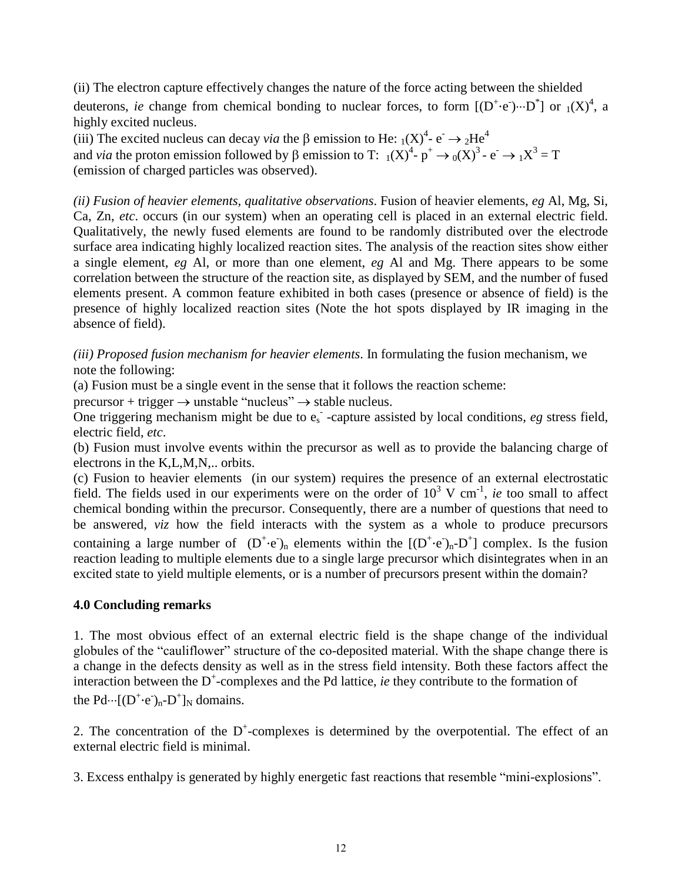(ii) The electron capture effectively changes the nature of the force acting between the shielded

deuterons, *ie* change from chemical bonding to nuclear forces, to form  $[(D^+ \cdot e) \cdots D^*]$  or  $_1(X)^4$ , a highly excited nucleus.

(iii) The excited nucleus can decay *via* the  $\beta$  emission to He:  $_1(X)^4$ - e<sup>-</sup>  $\rightarrow$  <sub>2</sub>He<sup>4</sup> and *via* the proton emission followed by  $\beta$  emission to T:  $_1(X)^4$ -  $p^+ \rightarrow_0(X)^3$ -  $e^- \rightarrow_1 X^3 = T$ (emission of charged particles was observed).

*(ii) Fusion of heavier elements, qualitative observations*. Fusion of heavier elements, *eg* Al, Mg, Si, Ca, Zn, *etc*. occurs (in our system) when an operating cell is placed in an external electric field. Qualitatively, the newly fused elements are found to be randomly distributed over the electrode surface area indicating highly localized reaction sites. The analysis of the reaction sites show either a single element, *eg* Al, or more than one element, *eg* Al and Mg. There appears to be some correlation between the structure of the reaction site, as displayed by SEM, and the number of fused elements present. A common feature exhibited in both cases (presence or absence of field) is the presence of highly localized reaction sites (Note the hot spots displayed by IR imaging in the absence of field).

*(iii) Proposed fusion mechanism for heavier elements*. In formulating the fusion mechanism, we note the following:

(a) Fusion must be a single event in the sense that it follows the reaction scheme:

precursor + trigger  $\rightarrow$  unstable "nucleus"  $\rightarrow$  stable nucleus.

One triggering mechanism might be due to e<sup>s</sup> - -capture assisted by local conditions, *eg* stress field, electric field, *etc*.

(b) Fusion must involve events within the precursor as well as to provide the balancing charge of electrons in the K,L,M,N,.. orbits.

(c) Fusion to heavier elements (in our system) requires the presence of an external electrostatic field. The fields used in our experiments were on the order of  $10^3$  V cm<sup>-1</sup>, *ie* too small to affect chemical bonding within the precursor. Consequently, there are a number of questions that need to be answered, *viz* how the field interacts with the system as a whole to produce precursors containing a large number of  $(D^+ \cdot e)$ <sub>n</sub> elements within the  $[(D^+ \cdot e^-)_n - D^+]$  complex. Is the fusion reaction leading to multiple elements due to a single large precursor which disintegrates when in an excited state to yield multiple elements, or is a number of precursors present within the domain?

### **4.0 Concluding remarks**

1. The most obvious effect of an external electric field is the shape change of the individual globules of the "cauliflower" structure of the co-deposited material. With the shape change there is a change in the defects density as well as in the stress field intensity. Both these factors affect the interaction between the D<sup>+</sup>-complexes and the Pd lattice, *ie* they contribute to the formation of the  $Pd \cdots [(D^+ \cdot e^-)_n - D^+]_N$  domains.

2. The concentration of the  $D^+$ -complexes is determined by the overpotential. The effect of an external electric field is minimal.

3. Excess enthalpy is generated by highly energetic fast reactions that resemble "mini-explosions".